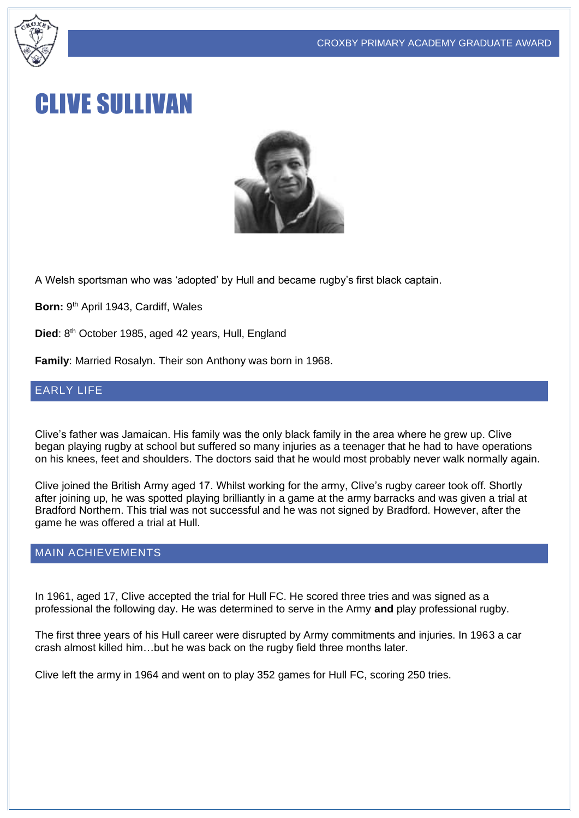

# CLIVE SULLIVAN



A Welsh sportsman who was 'adopted' by Hull and became rugby's first black captain.

Born: 9<sup>th</sup> April 1943, Cardiff, Wales

Died: 8<sup>th</sup> October 1985, aged 42 years, Hull, England

**Family**: Married Rosalyn. Their son Anthony was born in 1968.

#### EARLY LIFE

Clive's father was Jamaican. His family was the only black family in the area where he grew up. Clive began playing rugby at school but suffered so many injuries as a teenager that he had to have operations on his knees, feet and shoulders. The doctors said that he would most probably never walk normally again.

Clive joined the British Army aged 17. Whilst working for the army, Clive's rugby career took off. Shortly after joining up, he was spotted playing brilliantly in a game at the army barracks and was given a trial at Bradford Northern. This trial was not successful and he was not signed by Bradford. However, after the game he was offered a trial at Hull.

#### MAIN ACHIEVEMENTS

In 1961, aged 17, Clive accepted the trial for Hull FC. He scored three tries and was signed as a professional the following day. He was determined to serve in the Army **and** play professional rugby.

The first three years of his Hull career were disrupted by Army commitments and injuries. In 1963 a car crash almost killed him…but he was back on the rugby field three months later.

Clive left the army in 1964 and went on to play 352 games for Hull FC, scoring 250 tries.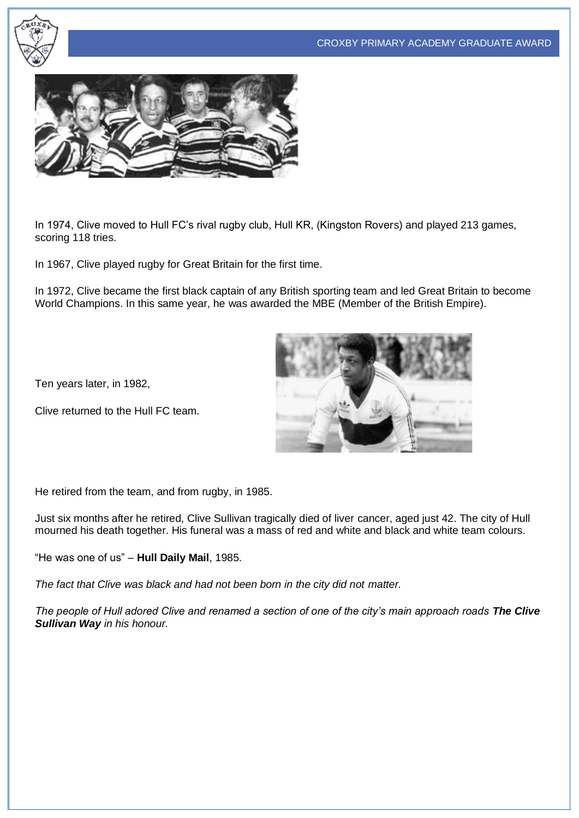



In 1974, Clive moved to Hull FC's rival rugby club, Hull KR, (Kingston Rovers) and played 213 games, scoring 118 tries.

In 1967, Clive played rugby for Great Britain for the first time.

In 1972, Clive became the first black captain of any British sporting team and led Great Britain to become World Champions. In this same year, he was awarded the MBE (Member of the British Empire).

Ten years later, in 1982,

Clive returned to the Hull FC team.



He retired from the team, and from rugby, in 1985.

Just six months after he retired, Clive Sullivan tragically died of liver cancer, aged just 42. The city of Hull mourned his death together. His funeral was a mass of red and white and black and white team colours.

"He was one of us" – **Hull Daily Mail**, 1985.

*The fact that Clive was black and had not been born in the city did not matter.*

*The people of Hull adored Clive and renamed a section of one of the city's main approach roads The Clive Sullivan Way in his honour.*